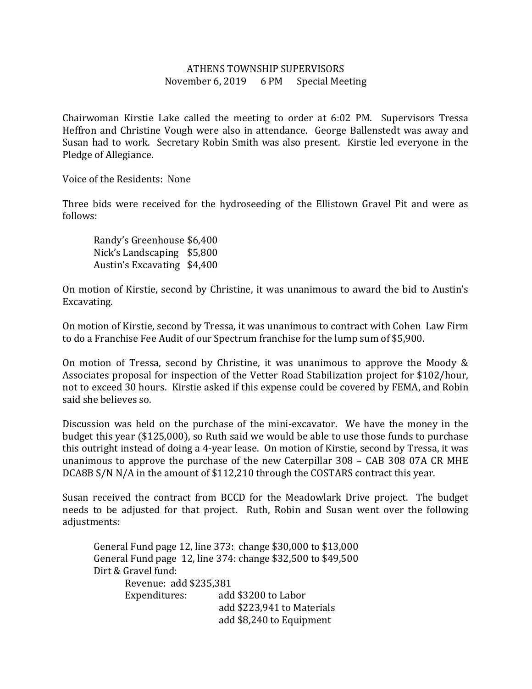## ATHENS TOWNSHIP SUPERVISORS November 6, 2019 6 PM Special Meeting

Chairwoman Kirstie Lake called the meeting to order at 6:02 PM. Supervisors Tressa Heffron and Christine Vough were also in attendance. George Ballenstedt was away and Susan had to work. Secretary Robin Smith was also present. Kirstie led everyone in the Pledge of Allegiance.

Voice of the Residents: None

Three bids were received for the hydroseeding of the Ellistown Gravel Pit and were as follows:

 Randy's Greenhouse \$6,400 Nick's Landscaping \$5,800 Austin's Excavating \$4,400

On motion of Kirstie, second by Christine, it was unanimous to award the bid to Austin's Excavating.

On motion of Kirstie, second by Tressa, it was unanimous to contract with Cohen Law Firm to do a Franchise Fee Audit of our Spectrum franchise for the lump sum of \$5,900.

On motion of Tressa, second by Christine, it was unanimous to approve the Moody & Associates proposal for inspection of the Vetter Road Stabilization project for \$102/hour, not to exceed 30 hours. Kirstie asked if this expense could be covered by FEMA, and Robin said she believes so.

Discussion was held on the purchase of the mini-excavator. We have the money in the budget this year (\$125,000), so Ruth said we would be able to use those funds to purchase this outright instead of doing a 4-year lease. On motion of Kirstie, second by Tressa, it was unanimous to approve the purchase of the new Caterpillar 308 – CAB 308 07A CR MHE DCA8B S/N N/A in the amount of \$112,210 through the COSTARS contract this year.

Susan received the contract from BCCD for the Meadowlark Drive project. The budget needs to be adjusted for that project. Ruth, Robin and Susan went over the following adjustments:

 General Fund page 12, line 373: change \$30,000 to \$13,000 General Fund page 12, line 374: change \$32,500 to \$49,500 Dirt & Gravel fund: Revenue: add \$235,381 Expenditures: add \$3200 to Labor add \$223,941 to Materials add \$8,240 to Equipment